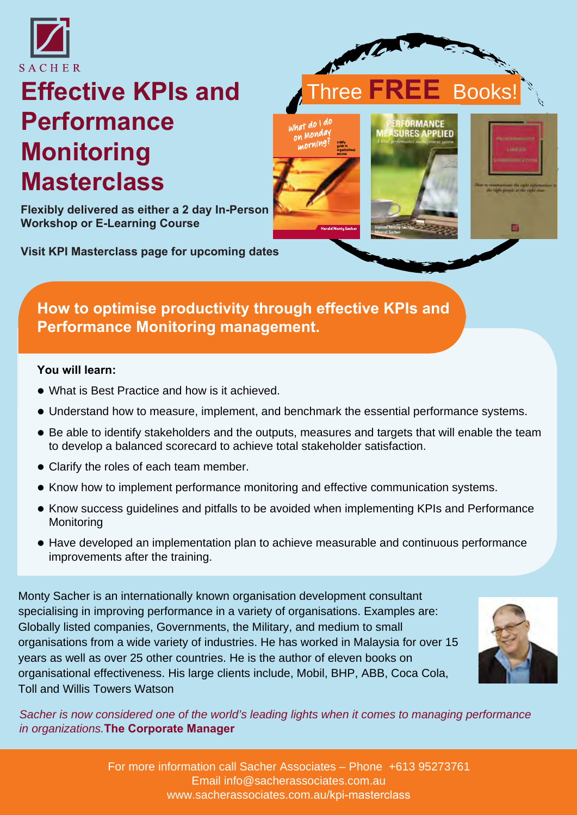

# **Effective KPIs and Performance Monitoring Masterclass**

**Flexibly delivered as either a 2 day In-Person Workshop or E-Learning Course**

**[Visit KPI Masterclass page for upcoming dates](https://www.sacherassociates.com.au/kpi-masterclass)**



#### **You will learn:**

- What is Best Practice and how is it achieved.
- Understand how to measure, implement, and benchmark the essential performance systems.
- Be able to identify stakeholders and the outputs, measures and targets that will enable the team to develop a balanced scorecard to achieve total stakeholder satisfaction.

 $-d0$  1 do

on Monday

Three **FREE** Books!

**DRMANCE** 

**RES APPLIED** 

- Clarify the roles of each team member.
- Know how to implement performance monitoring and effective communication systems.
- Know success guidelines and pitfalls to be avoided when implementing KPIs and Performance **Monitoring**
- Have developed an implementation plan to achieve measurable and continuous performance improvements after the training.

Monty Sacher is an internationally known organisation development consultant specialising in improving performance in a variety of organisations. Examples are: Globally listed companies, Governments, the Military, and medium to small organisations from a wide variety of industries. He has worked in Malaysia for over 15 years as well as over 25 other countries. He is the author of eleven books on organisational effectiveness. His large clients include, Mobil, BHP, ABB, Coca Cola, Toll and Willis Towers Watson

*Sacher is now considered one of the world's leading lights when it comes to managing performance in organizations.***The Corporate Manager**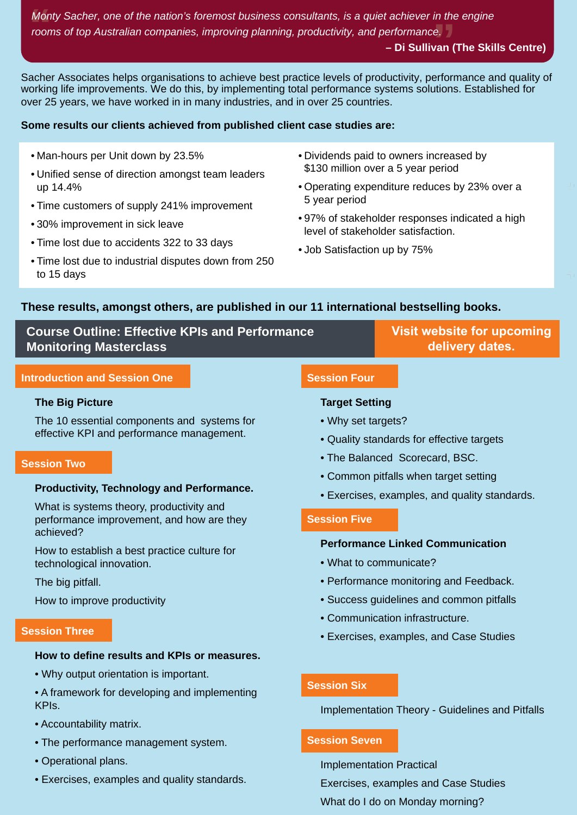**Mon**<br>**roon** Monty Sacher, one of the nation's foremost business consultants, is a quiet achiever in the engine<br>rooms of top Australian companies, improving planning, productivity, and performance. *rooms of top Australian companies, improving planning, productivity, and performance.*

#### **– Di Sullivan (The Skills Centre)**

Ú.

Sacher Associates helps organisations to achieve best practice levels of productivity, performance and quality of working life improvements. We do this, by implementing total performance systems solutions. Established for over 25 years, we have worked in in many industries, and in over 25 countries.

#### **Some results our clients achieved from published client case studies are:**

- Man-hours per Unit down by 23.5%
- Unified sense of direction amongst team leaders up 14.4%
- Time customers of supply 241% improvement
- 30% improvement in sick leave
- Time lost due to accidents 322 to 33 days
- Time lost due to industrial disputes down from 250 to 15 days
- Dividends paid to owners increased by \$130 million over a 5 year period
- Operating expenditure reduces by 23% over a 5 year period
- 97% of stakeholder responses indicated a high level of stakeholder satisfaction.
- Job Satisfaction up by 75%

#### **These results, amongst others, are published in our 11 international bestselling books.**

| <b>Course Outline: Effective KPIs and Performance</b> |                     | Visit website for upcoming |
|-------------------------------------------------------|---------------------|----------------------------|
| <b>Monitoring Masterclass</b>                         |                     | delivery dates.            |
| <b>Introduction and Session One</b>                   | <b>Session Four</b> |                            |

#### **The Big Picture**

The 10 essential components and systems for effective KPI and performance management.

#### **Session Two**

#### **Productivity, Technology and Performance.**

What is systems theory, productivity and performance improvement, and how are they achieved?

How to establish a best practice culture for technological innovation.

The big pitfall.

How to improve productivity

#### **Session Three**

#### **How to define results and KPIs or measures.**

- Why output orientation is important.
- A framework for developing and implementing KPIs.
- Accountability matrix.
- The performance management system.
- Operational plans.
- Exercises, examples and quality standards.

#### **Target Setting**

- Why set targets?
- Quality standards for effective targets
- The Balanced Scorecard, BSC.
- Common pitfalls when target setting
- Exercises, examples, and quality standards.

#### **Session Five**

#### **Performance Linked Communication**

- What to communicate?
- Performance monitoring and Feedback.
- Success guidelines and common pitfalls
- Communication infrastructure.
- Exercises, examples, and Case Studies

#### **Session Six**

Implementation Theory - Guidelines and Pitfalls

#### **Session Seven**

Implementation Practical Exercises, examples and Case Studies What do I do on Monday morning?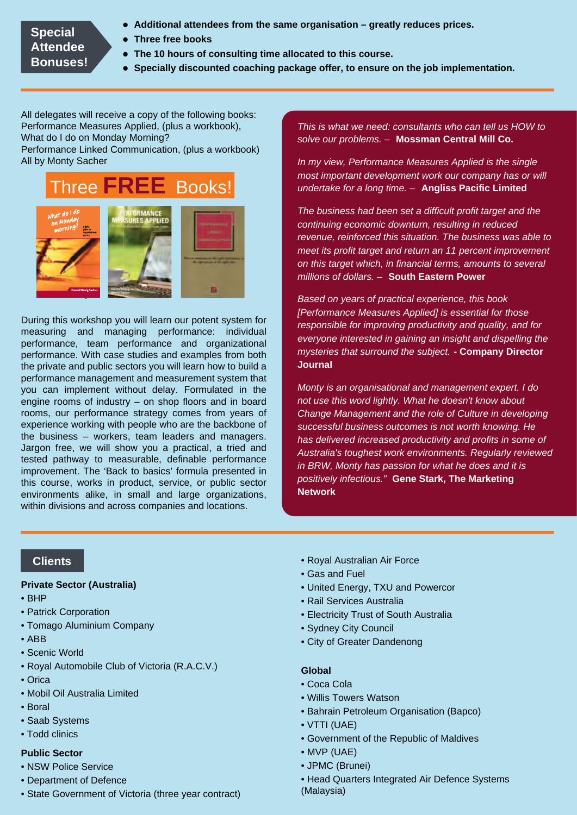#### **Special Attendee Bonuses!**

- **Additional attendees from the same organisation greatly reduces prices.**
- **Three free books**
- **The 10 hours of consulting time allocated to this course.**
- **Specially discounted coaching package offer, to ensure on the job implementation.**

All delegates will receive a copy of the following books: Performance Measures Applied, (plus a workbook), What do I do on Monday Morning?

Performance Linked Communication, (plus a workbook) All by Monty Sacher



During this workshop you will learn our potent system for measuring and managing performance: individual performance, team performance and organizational performance. With case studies and examples from both the private and public sectors you will learn how to build a performance management and measurement system that you can implement without delay. Formulated in the engine rooms of industry – on shop floors and in board rooms, our performance strategy comes from years of experience working with people who are the backbone of the business – workers, team leaders and managers. Jargon free, we will show you a practical, a tried and tested pathway to measurable, definable performance improvement. The 'Back to basics' formula presented in this course, works in product, service, or public sector environments alike, in small and large organizations, within divisions and across companies and locations.

*This is what we need: consultants who can tell us HOW to solve our problems. –* **Mossman Central Mill Co.**

*In my view, Performance Measures Applied is the single most important development work our company has or will undertake for a long time. –* **Angliss Pacific Limited**

*The business had been set a difficult profit target and the continuing economic downturn, resulting in reduced revenue, reinforced this situation. The business was able to meet its profit target and return an 11 percent improvement on this target which, in financial terms, amounts to several millions of dollars. –* **South Eastern Power**

*Based on years of practical experience, this book [Performance Measures Applied] is essential for those responsible for improving productivity and quality, and for everyone interested in gaining an insight and dispelling the mysteries that surround the subject.* **- Company Director Journal**

*Monty is an organisational and management expert. I do not use this word lightly. What he doesn't know about Change Management and the role of Culture in developing successful business outcomes is not worth knowing. He has delivered increased productivity and profits in some of Australia's toughest work environments. Regularly reviewed in BRW, Monty has passion for what he does and it is positively infectious."* **Gene Stark, The Marketing Network**

### **Clients**

#### **Private Sector (Australia)**

- BHP
- Patrick Corporation
- Tomago Aluminium Company
- ABB
- Scenic World
- Royal Automobile Club of Victoria (R.A.C.V.)
- Orica
- Mobil Oil Australia Limited
- Boral
- Saab Systems
- Todd clinics

#### **Public Sector**

- NSW Police Service
- Department of Defence
- State Government of Victoria (three year contract)
- Royal Australian Air Force
- Gas and Fuel
- United Energy, TXU and Powercor
- Rail Services Australia
- Electricity Trust of South Australia
- Sydney City Council
- City of Greater Dandenong

#### **Global**

- Coca Cola
- Willis Towers Watson
- Bahrain Petroleum Organisation (Bapco)
- VTTI (UAE)
- Government of the Republic of Maldives
- MVP (UAE)
- JPMC (Brunei)
- Head Quarters Integrated Air Defence Systems (Malaysia)